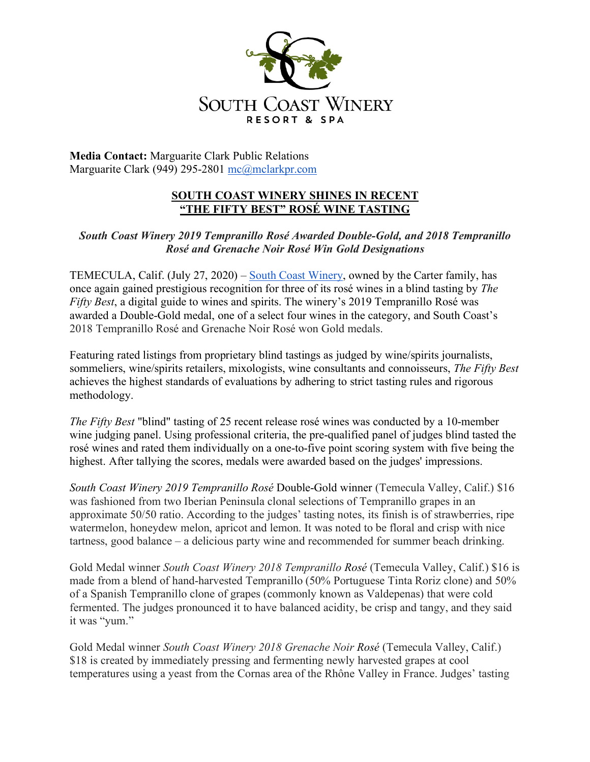

**Media Contact:** Marguarite Clark Public Relations Marguarite Clark (949) 295-2801 mc@mclarkpr.com

## **SOUTH COAST WINERY SHINES IN RECENT "THE FIFTY BEST" ROSÉ WINE TASTING**

*South Coast Winery 2019 Tempranillo Rosé Awarded Double-Gold, and 2018 Tempranillo Rosé and Grenache Noir Rosé Win Gold Designations*

TEMECULA, Calif. (July 27, 2020) – South Coast Winery, owned by the Carter family, has once again gained prestigious recognition for three of its rosé wines in a blind tasting by *The Fifty Best*, a digital guide to wines and spirits. The winery's 2019 Tempranillo Rosé was awarded a Double-Gold medal, one of a select four wines in the category, and South Coast's 2018 Tempranillo Rosé and Grenache Noir Rosé won Gold medals.

Featuring rated listings from proprietary blind tastings as judged by wine/spirits journalists, sommeliers, wine/spirits retailers, mixologists, wine consultants and connoisseurs, *The Fifty Best* achieves the highest standards of evaluations by adhering to strict tasting rules and rigorous methodology.

*The Fifty Best* "blind" tasting of 25 recent release rosé wines was conducted by a 10-member wine judging panel. Using professional criteria, the pre-qualified panel of judges blind tasted the rosé wines and rated them individually on a one-to-five point scoring system with five being the highest. After tallying the scores, medals were awarded based on the judges' impressions.

*South Coast Winery 2019 Tempranillo Rosé* Double-Gold winner (Temecula Valley, Calif.) \$16 was fashioned from two Iberian Peninsula clonal selections of Tempranillo grapes in an approximate 50/50 ratio. According to the judges' tasting notes, its finish is of strawberries, ripe watermelon, honeydew melon, apricot and lemon. It was noted to be floral and crisp with nice tartness, good balance – a delicious party wine and recommended for summer beach drinking.

Gold Medal winner *South Coast Winery 2018 Tempranillo Rosé* (Temecula Valley, Calif.) \$16 is made from a blend of hand-harvested Tempranillo (50% Portuguese Tinta Roriz clone) and 50% of a Spanish Tempranillo clone of grapes (commonly known as Valdepenas) that were cold fermented. The judges pronounced it to have balanced acidity, be crisp and tangy, and they said it was "yum."

Gold Medal winner *South Coast Winery 2018 Grenache Noir Rosé* (Temecula Valley, Calif.) \$18 is created by immediately pressing and fermenting newly harvested grapes at cool temperatures using a yeast from the Cornas area of the Rhône Valley in France. Judges' tasting